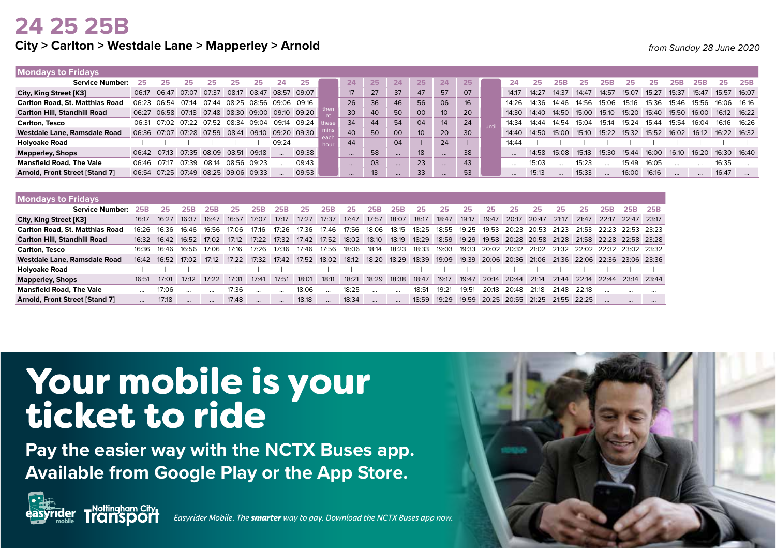## **24 25 25B**

#### City > Carlton > Westdale Lane > Mapperley > Arnold *from Sunday 28 June 2020*

| <b>Mondays to Fridays</b>              |             |                                     |             |       |       |             |             |                                                 |          |    |          |                 |                 |    |       |       |       |       |             |       |             |       |       |             |       |
|----------------------------------------|-------------|-------------------------------------|-------------|-------|-------|-------------|-------------|-------------------------------------------------|----------|----|----------|-----------------|-----------------|----|-------|-------|-------|-------|-------------|-------|-------------|-------|-------|-------------|-------|
| <b>Service Number:</b>                 | 25          | 25                                  | 25          | 25    | 25    | 25          | 24          | 25                                              | 24       | 25 | 24       | 25              | 24              | 25 | 24    |       | 25B   | 25.   | 25B         | 25    | 25.         | 25B   | 25B   | -25         | 25B   |
| City, King Street [K3]                 | 06:17       | 06:47                               | 07:07       | 07:37 | 08:17 | 08:47       |             | 08:57 09:07                                     | 17       | 27 | 37       | 47              | 57              | 07 | 14:17 | 14:27 | 14:37 | 14:47 | 14:57       | 15:07 | 15:27       | 15:37 | 15:47 | 15:57       | 16:07 |
| <b>Carlton Road, St. Matthias Road</b> | 06.23       | 06:54                               | 07:14       | 07:44 | 08:25 | 08:56 09:06 |             | 09:16                                           | 26       | 36 | 46       | 56              | 06              |    | 14:26 | 14:36 | 14:46 | 14:56 | 15:06       | 15:16 | 15:36       | 15:46 | 15:56 | 16:06 16:16 |       |
| <b>Carlton Hill, Standhill Road</b>    |             |                                     |             |       |       |             |             | 06:27 06:58 07:18 07:48 08:30 09:00 09:10 09:20 | 30       | 40 | 50       | 00              | 10 <sup>°</sup> | 20 | 14:30 | 14:40 | 14:50 | 15:00 | 15:10       | 15:20 | 15:40       | 15:50 | 16:00 | 16:12 16:22 |       |
| <b>Carlton, Tesco</b>                  | 06:31       | 07:02 07:22 07:52 08:34 09:04       |             |       |       |             | 09:14 09:24 |                                                 | 34       | 44 | 54       | 04              | 14              | 24 | 14:34 | 14.44 | 14:54 | 15:04 | 15:14       | 15:24 | 15:44       | 15:54 | 16:04 | 16:16       | 16:26 |
| Westdale Lane, Ramsdale Road           |             | 06:36 07:07 07:28 07:59 08:41       |             |       |       | 09:10       |             | 09:20 09:30                                     | 40       | 50 | 00       | 10 <sup>°</sup> | 20              | 30 | 14:40 | 14:50 | 15:00 | 15:10 | 15:22 15:32 |       | 15:52 16:02 |       | 16:12 | 16:22 16:32 |       |
| <b>Holyoake Road</b>                   |             |                                     |             |       |       |             | 09:24       |                                                 | 44       |    | 04       |                 | 24              |    | 14:44 |       |       |       |             |       |             |       |       |             |       |
| <b>Mapperley, Shops</b>                | 06:42 07:13 |                                     | 07:35 08:09 |       | 08:51 | 09:18       |             | 09:38                                           |          | 58 | $\cdots$ | 18              | $\cdots$        | 38 |       | 14:58 | 15:08 | 15:18 | 15:30       | 15:44 | 16:00       | 16:10 | 16:20 | 16:30 16:40 |       |
| <b>Mansfield Road, The Vale</b>        | 06:46       | 07:17                               | 07:39       | 08:14 | 08:56 | 09.23       |             | 09:43                                           | $\cdots$ | 03 | $\cdots$ | 23 <sup>°</sup> | $\cdots$        | 43 |       | 15:03 |       | 15:23 |             | 15:49 | 16:05       |       |       | 16:35       |       |
| Arnold, Front Street [Stand 7]         |             | 06:54 07:25 07:49 08:25 09:06 09:33 |             |       |       |             |             | 09:53                                           |          | 13 | $\cdots$ | 33              | $\cdots$        | 53 |       | 15:13 |       | 15:33 |             | 16:00 | 16:16       |       |       | 16:47       |       |

| <b>Mondays to Fridays</b>              |          |       |       |       |       |       |       |             |       |       |       |       |       |       |       |             |                   |       |       |             |       |                                                 |          |
|----------------------------------------|----------|-------|-------|-------|-------|-------|-------|-------------|-------|-------|-------|-------|-------|-------|-------|-------------|-------------------|-------|-------|-------------|-------|-------------------------------------------------|----------|
| <b>Service Number:</b>                 |          | 25    | 25R   | 25B   | 25    | 25R   | 25B   | 25          | 253   | 25    | 25B   | 25B   | 25    | 25    | 25    | 25          | 25                | 25    |       | 25.         | 25B   | 25B                                             | 25B      |
| City, King Street [K3]                 | 16:17    | 16:27 | 16:37 | 16:47 | 16:57 | 17:07 | 17:17 | 17:27       | 17:37 | 17:47 | 17:57 | 18:07 | 18:17 | 18:47 | 19:17 | 19:47       | 20:17             | 20:47 | 21:17 | 21:47       |       | 22:17 22:47 23:17                               |          |
| <b>Carlton Road, St. Matthias Road</b> | 16.26    | 16:36 | 16.46 | 16.56 | 17.06 | 17.16 | 17:26 | 17:36       | 17.46 | 17:56 | 18:06 | 18:15 | 18:25 | 18:55 | 19:25 | 19:53       | 20:23             | 20:53 | 21:23 | 21:53       | 22.23 | 22:53 23:23                                     |          |
| <b>Carlton Hill, Standhill Road</b>    | 16:32    | 16:42 | 16:52 | 17:02 | 17:12 | 17:22 | 17:32 | 17:42 17:52 |       | 18:02 | 18:10 | 18:19 | 18:29 | 18:59 | 19:29 |             |                   |       |       |             |       | 19:58 20:28 20:58 21:28 21:58 22:28 22:58 23:28 |          |
| <b>Carlton, Tesco</b>                  | 16:36    | 16:46 | 16:56 | 17:06 | 17:16 | 17:26 | 17:36 | 17:46       | 17:56 | 18:06 | 18:14 | 18:23 | 18:33 | 19:03 | 19:33 | 20:02       | 20:32 21:02       |       | 21:32 |             |       | 22:02 22:32 23:02 23:32                         |          |
| Westdale Lane, Ramsdale Road           | 16:42    | 16:52 | 17:02 | 17:12 | 17:22 | 17:32 | 17:42 | 17:52       | 18:02 | 18:12 | 18:20 | 18:29 | 18:39 | 19:09 | 19:39 |             | 20:06 20:36 21:06 |       |       |             |       | 21:36 22:06 22:36 23:06 23:36                   |          |
| <b>Holyoake Road</b>                   |          |       |       |       |       |       |       |             |       |       |       |       |       |       |       |             |                   |       |       |             |       |                                                 |          |
| <b>Mapperley, Shops</b>                | 16:51    | 17:01 | 17:12 | 17:22 | 17:31 | 17:41 | 17:51 | 18:01       | 18:11 | 18:21 | 18:29 | 18:38 | 18:47 | 19:17 | 19:47 | 20:14 20:44 |                   | 21:14 | 21:44 | 22:14       |       | 22:44 23:14 23:44                               |          |
| <b>Mansfield Road, The Vale</b>        | $\cdots$ | 17:06 |       |       | 17:36 |       |       | 18:06       |       | 18:25 |       |       | 18:51 | 19:21 | 19:51 | 20:18       | 20:48             | 21:18 | 21:48 | 22:18       |       |                                                 |          |
| Arnold, Front Street [Stand 7]         | $\cdots$ | 17:18 |       |       | 17:48 |       |       | 18:18       |       | 18:34 |       |       | 18:59 | 19:29 | 19:59 |             | 20:25 20:55       | 21:25 |       | 21:55 22:25 |       | $\cdots$                                        | $\cdots$ |

# Your mobile is your ticket to ride

**Pay the easier way with the NCTX Buses app. Available from Google Play or the App Store.**



**mobile** *Easyrider Mobile. The smarter way to pay. Download the NCTX Buses app now.*

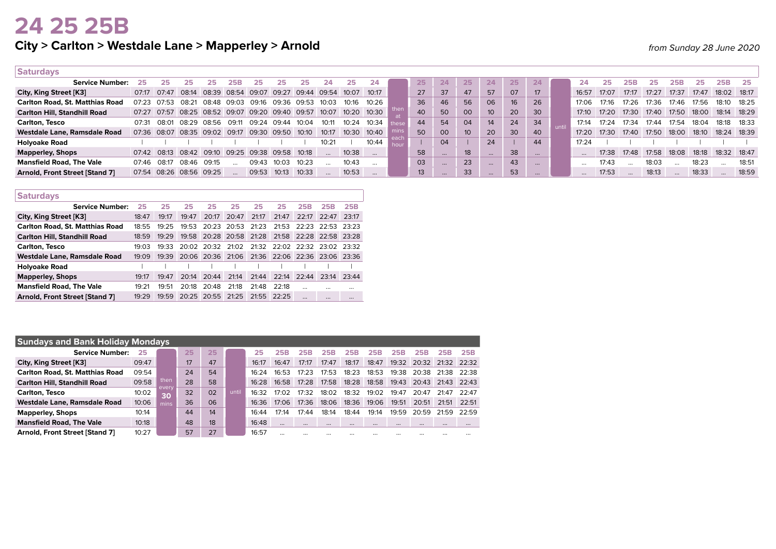## **24 25 25B**

### City > Carlton > Westdale Lane > Mapperley > Arnold *from Sunday 28 June 2020*

| <b>Saturdays</b>                       |       |                               |       |             |     |                                                 |       |       |          |              |          |    |          |    |                 |    |          |       |       |       |       |             |       |              |       |
|----------------------------------------|-------|-------------------------------|-------|-------------|-----|-------------------------------------------------|-------|-------|----------|--------------|----------|----|----------|----|-----------------|----|----------|-------|-------|-------|-------|-------------|-------|--------------|-------|
| <b>Service Number:</b>                 |       | 25                            | 25    | 25          | 25B | 25                                              | 25    | 25    | 24       | 25           | 24       |    | 24       | 25 | 24              | 25 | 24       | 24    | 25    | 25B   | 25.   | 25B         | 25.   | 25B          | - 25  |
| City, King Street [K3]                 | 07:17 | 07:47                         | 08:14 | 08:39 08:54 |     | 09:07 09:27 09:44 09:54 10:07                   |       |       |          |              | 10:17    | 27 | 37       | 47 | 57              | 07 | 17       | 16:57 | 17:07 | 17:17 | 17:27 | 17:37       | 17:47 | 18:02  18:17 |       |
| <b>Carlton Road, St. Matthias Road</b> | 07:23 | 07:53                         | 08:21 |             |     | 08:48 09:03 09:16                               | 09:36 | 09:53 | 10:03    | 10:16        | 10:26    | 36 | 46       | 56 | 06              | 16 | 26       | 17:06 | 17:16 | 17:26 | 17:36 | 17:46       | 17:56 | 18:10        | 18:25 |
| <b>Carlton Hill, Standhill Road</b>    |       |                               |       |             |     | 07:27 07:57 08:25 08:52 09:07 09:20 09:40 09:57 |       |       | 10:07    | 10:20 10:30  |          | 40 | 50       | 00 | 10 <sup>°</sup> | 20 | 30       | 17:10 | 17:20 | 17:30 | 17:40 | 17:50       | 18:00 | 18:14        | 18:29 |
| Carlton, Tesco                         | 07:31 | 08:01                         | 08:29 | 08:56 09:11 |     | 09:24                                           | 09:44 | 10:04 | 10:11    | 10:24        | 10:34    | 44 | 54       | 04 | 14              | 24 | 34       | 17:14 | 17:24 | 7.34  | 17:44 | 17:54       | 18:04 | 18:18        | 18:33 |
| Westdale Lane, Ramsdale Road           |       |                               |       |             |     | 07:36 08:07 08:35 09:02 09:17 09:30 09:50       |       | 10:10 | 10:17    | 10:30  10:40 |          | 50 | 00       | 10 | 20              | 30 | 40       | 17:20 | 17:30 | 17:40 | 17:50 | 18:00 18:10 |       | 18:24 18:39  |       |
| <b>Holyoake Road</b>                   |       |                               |       |             |     |                                                 |       |       | 10:21    |              | 10:44    |    | 04       |    | 24              |    | 44       | 17:24 |       |       |       |             |       |              |       |
| <b>Mapperley, Shops</b>                |       | 07:42 08:13 08:42 09:10 09:25 |       |             |     | 09:38 09:58                                     |       | 10:18 | $\cdots$ | 10:38        | $\cdots$ | 58 | $\cdots$ | 18 |                 | 38 | $\cdots$ |       | 17:38 | 17:48 | 17:58 | 18:08       | 18:18 | 18:32  18:47 |       |
| <b>Mansfield Road, The Vale</b>        | 07:46 | 08:17                         | 08:46 | 09:15       |     | 09:43                                           | 10.03 | 10:23 |          | 10:43        |          | 03 | $\cdots$ | 23 |                 | 43 | $\cdots$ |       | 17:43 |       | 18:03 |             | 18:23 |              | 18:51 |
| Arnold, Front Street [Stand 7]         |       | 07:54 08:26 08:56 09:25       |       |             |     | 09:53 10:13                                     |       | 10:33 |          | 10:53        |          | 13 | $\cdots$ | 33 |                 | 53 |          |       | 17:53 |       | 18:13 |             | 18:33 |              | 18:59 |

| <b>Saturdays</b>                       |       |       |       |                         |       |       |       |                                                 |          |          |
|----------------------------------------|-------|-------|-------|-------------------------|-------|-------|-------|-------------------------------------------------|----------|----------|
| <b>Service Number:</b>                 | 25    | 25    | 25    | 25                      | 25    | 25    | 25    | 25B                                             | 25B      | 25B      |
| City, King Street [K3]                 | 18:47 | 19:17 | 19:47 | 20:17                   | 20:47 | 21.17 | 21:47 | 22.17                                           | 22.47    | 23.17    |
| <b>Carlton Road, St. Matthias Road</b> | 18.55 | 19.25 | 19.53 | 20:23                   | 20:53 | 21:23 | 21:53 | 22:23                                           | 22.53    | 23.23    |
| <b>Carlton Hill, Standhill Road</b>    | 18:59 | 19.29 |       | 19:58 20:28 20:58 21:28 |       |       |       | 21:58 22:28 22:58 23:28                         |          |          |
| <b>Carlton, Tesco</b>                  | 19.03 | 19.33 | 20:02 | 20:32                   | 21.02 |       |       | 21:32 22:02 22:32 23:02                         |          | -23:32   |
| Westdale Lane, Ramsdale Road           | 19:09 | 19:39 |       |                         |       |       |       | 20:06 20:36 21:06 21:36 22:06 22:36 23:06 23:36 |          |          |
| <b>Holyoake Road</b>                   |       |       |       |                         |       |       |       |                                                 |          |          |
| <b>Mapperley, Shops</b>                | 19:17 | 19.47 | 20.14 | 20:44                   | 21.14 | 21:44 | 22.14 | 22.44                                           | 23.14    | 23.44    |
| <b>Mansfield Road. The Vale</b>        | 19:21 | 19:51 | 20:18 | 20:48                   | 21:18 | 21.48 | 22.18 | $\cdots$                                        |          | $\cdots$ |
| <b>Arnold, Front Street [Stand 7]</b>  | 19.29 | 19.59 | 20:25 | 20:55                   | 21.25 | 21:55 | 22.25 | $\cdots$                                        | $\cdots$ |          |

| <b>Sundays and Bank Holiday Mondays</b> |       |               |    |    |       |       |          |          |          |          |          |          |          |          |                 |
|-----------------------------------------|-------|---------------|----|----|-------|-------|----------|----------|----------|----------|----------|----------|----------|----------|-----------------|
| <b>Service Number:</b>                  | 25    |               | 25 | 25 |       | 25    | 25B      | 253      | 25B      | 25B      | 25B      | 25B      | 25R      | 25R      | 25B             |
| City, King Street [K3]                  | 09:47 |               | 17 | 47 |       | 16:17 | 16:47    | 17:17    | 17:47    | 18:17    | 18:47    | 19:32    | 20:32    |          | 21:32 22:32     |
| <b>Carlton Road, St. Matthias Road</b>  | 09:54 |               | 24 | 54 |       | 16:24 | 16:53    | 17.23    | 17:53    | 18:23    | 18:53    | 19:38    | 20:38    | 21:38    | 22.38           |
| <b>Carlton Hill, Standhill Road</b>     | 09:58 | then<br>every | 28 | 58 |       | 16:28 | 16:58    | 17.28    | 17:58    | 18:28    | 18:58    | 19:43    | 20.43    |          | $21.43$ $22.43$ |
| <b>Carlton, Tesco</b>                   | 10:02 | 30            | 32 | 02 | until | 16:32 | 17.02    | 17.32    | 18:02    | 18:32    | 19:02    | 19:47    | 20.47    | 21.47    | 22.47           |
| Westdale Lane, Ramsdale Road            | 10:06 | mins          | 36 | 06 |       | 16:36 | 17:06    | 17:36    | 18:06    | 18:36    | 19:06    | 19:51    | 20:51    | 21:51    | 22:51           |
| <b>Mapperley, Shops</b>                 | 10:14 |               | 44 | 14 |       | 16.44 | 17.14    | 17.44    | 18:14    | 18:44    | 19:14    | 19:59    | 20.59    | 21.59    | 22.59           |
| <b>Mansfield Road, The Vale</b>         | 10:18 |               | 48 | 18 |       | 16:48 | $\cdots$ | $\cdots$ | $\cdots$ | $\cdots$ | $\cdots$ | $\cdots$ | $\cdots$ | $\cdots$ | $\cdots$        |
| Arnold, Front Street [Stand 7]          | 10:27 |               | 57 | 27 |       | 16:57 |          |          |          |          |          |          |          |          | $\cdots$        |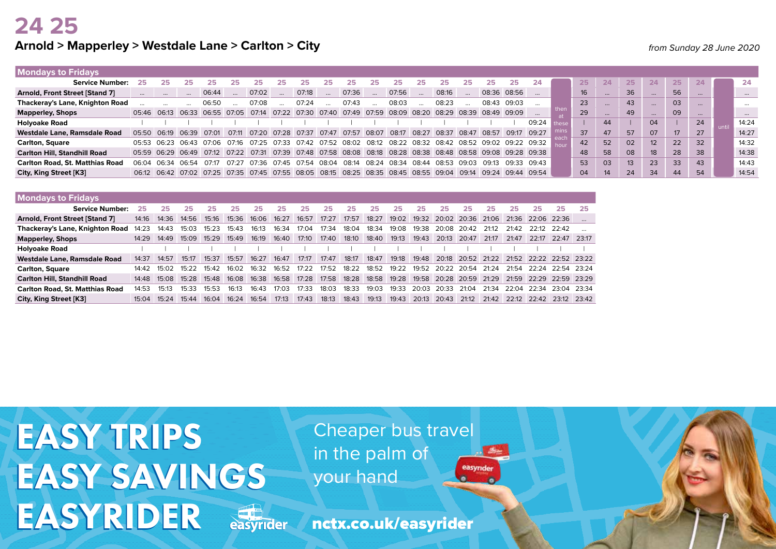| <b>Mondays to Fridays</b>              |             |             |                   |       |                                                                                     |       |             |       |                         |                   |       |                               |       |       |                   |                                                                         |             |       |    |          |                 |          |    |                 |       |
|----------------------------------------|-------------|-------------|-------------------|-------|-------------------------------------------------------------------------------------|-------|-------------|-------|-------------------------|-------------------|-------|-------------------------------|-------|-------|-------------------|-------------------------------------------------------------------------|-------------|-------|----|----------|-----------------|----------|----|-----------------|-------|
| <b>Service Number:</b>                 |             |             | 25                |       | 25                                                                                  | 25    | 25          | 25    |                         | 25                |       |                               | 25    | 25    |                   | 25                                                                      | 25          | 24    | 25 | 24       | 25              | 24       | 25 |                 | 24    |
| Arnold, Front Street [Stand 7]         |             |             | $\cdots$          | 06:44 |                                                                                     | 07:02 |             | 07:18 | $\sim$                  | 07:36             |       | 07:56                         |       | 08:16 | $\sim$ $\sim$     | 08:36 08:56                                                             |             |       | 16 | $\cdots$ | 36              | $\cdots$ | 56 |                 |       |
| Thackeray's Lane, Knighton Road        |             |             |                   | 06:50 |                                                                                     | 07:08 |             | 07:24 |                         | 07:43             |       | 08:03                         |       | 08:23 |                   | 08:43 09:03                                                             |             |       | 23 | $\cdots$ | 43              | $\cdots$ | 03 | $\cdots$        |       |
| <b>Mapperley, Shops</b>                | 05:46 06:13 |             | 06:33             | 06:55 | 07:05                                                                               |       |             |       | 07:14 07:22 07:30 07:40 |                   |       | 07:49 07:59 08:09 08:20 08:29 |       |       |                   | 08:39 08:49 09:09                                                       |             |       | 29 | $\cdots$ | 49              | $\cdots$ | 09 | $\cdots$        |       |
| <b>Holyoake Road</b>                   |             |             |                   |       |                                                                                     |       |             |       |                         |                   |       |                               |       |       |                   |                                                                         |             | 09:24 |    | 44       |                 | 04       |    | 24              | 14:24 |
| Westdale Lane, Ramsdale Road           |             | 05:50 06:19 | 06:39             | 07:01 | 07:11                                                                               |       | 07:20 07:28 | 07:37 | 07:47 07:57             |                   | 08:07 | 08:17                         | 08:27 | 08:37 | 08:47             | 08:57                                                                   | 09:17 09:27 |       | 37 | 47       | 57              | 07       | 17 | 27              | 14:27 |
| <b>Carlton, Square</b>                 | 05:53       | 06.23       | 06:43             | 07:06 | 07:16                                                                               | 07:25 | 07:33       |       |                         | 07:42 07:52 08:02 | 08:12 | 08:22 08:32                   |       |       | 08:42 08:52 09:02 |                                                                         | 09:22 09:32 |       | 42 | 52       | 02              | 12       | 22 | 32 <sup>2</sup> | 14:32 |
| <b>Carlton Hill, Standhill Road</b>    |             |             | 05:59 06:29 06:49 | 07:12 | 07:22                                                                               | 07:31 |             |       |                         |                   |       |                               |       |       |                   | 07:39 07:48 07:58 08:08 08:18 08:28 08:38 08:48 08:58 09:08 09:28 09:38 |             |       | 48 | 58       | 08              | 18       | 28 | 38              | 14:38 |
| <b>Carlton Road, St. Matthias Road</b> | 06.04       | 06:34       | 06.54             | O7.17 | 07.27                                                                               | 07.36 | 07:45       | 07:54 | 08:04                   | 08:14             | 08:24 | 08:34                         | 08:44 |       | 08:53 09:03       | 09:13                                                                   | 09:33 09:43 |       | 53 | 03       | 13 <sup>2</sup> | 23       | 33 | 43              | 14:43 |
| City, King Street [K3]                 |             |             |                   |       | 06:12 06:42 07:02 07:25 07:35 07:45 07:55 08:05 08:15 08:25 08:35 08:45 08:55 09:04 |       |             |       |                         |                   |       |                               |       |       |                   | 09:14 09:24                                                             | 09:44 09:54 |       | 04 | 14       | 24              | 34       | 44 | 54              | 14:54 |

| <b>Mondays to Fridays</b>              |       |       |       |       |       |       |       |       |       |       |       |       |       |             |                         |       |       |                                           |                 |    |
|----------------------------------------|-------|-------|-------|-------|-------|-------|-------|-------|-------|-------|-------|-------|-------|-------------|-------------------------|-------|-------|-------------------------------------------|-----------------|----|
| <b>Service Number:</b>                 | 25    | 25    | 25    | 25    | 25    | 25    | 25    | つら    | 25    | 25    | 25    | つら    | 25    | つら          | 25                      | つら    | 25    | 25                                        | 25              | 25 |
| Arnold, Front Street [Stand 7]         | 14:16 | 14:36 | 14:56 | 15:16 | 15:36 | 16:06 | 16:27 | 16:57 | 17:27 | 17:57 | 18:27 | 19:02 |       |             | 19:32 20:02 20:36 21:06 |       |       | 21:36 22:06 22:36                         |                 |    |
| Thackeray's Lane, Knighton Road        | 14:23 | 14:43 | 15:03 | 15:23 | 15:43 | 16:13 | 16:34 | 17:04 | 17:34 | 18:04 | 18:34 | 19:08 | 19:38 | 20:08       | 20:42                   | 21:12 | 21:42 | $22.12$ $22.42$                           |                 |    |
| <b>Mapperley, Shops</b>                | 14:29 | 14:49 | 15:09 | 15:29 | 15:49 | 16:19 | 16:40 | 17:10 | 17:40 | 18:10 | 18:40 | 19:13 | 19:43 | 20:13       | 20:47                   | 21:17 | 21:47 | 22.17                                     | $22.47$ $23.17$ |    |
| <b>Holyoake Road</b>                   |       |       |       |       |       |       |       |       |       |       |       |       |       |             |                         |       |       |                                           |                 |    |
| Westdale Lane, Ramsdale Road           | 14:37 | 14:57 | 15:17 | 15:37 | 15:57 | 16:27 | 16:47 | 17:17 | 17:47 | 18:17 | 18:47 | 19:18 | 19:48 |             |                         |       |       | 20:18 20:52 21:22 21:52 22:22 22:52 23:22 |                 |    |
| <b>Carlton, Square</b>                 | 14:42 | 15:02 | 15:22 | 15.42 | 16:02 | 16:32 | 16.52 | 17:22 | 17:52 | 18:22 | 18:52 | 19:22 | 19:52 | 20:22 20:54 |                         | 21:24 | 21:54 | 22.24 22.54 23.24                         |                 |    |
| Carlton Hill, Standhill Road           | 14:48 | 15.08 | 15.28 | 15:48 | 16:08 | 16:38 | 16:58 | 17:28 | 17:58 | 18:28 | 18:58 | 19:28 |       |             | 19:58 20:28 20:59       | 21:29 | 21:59 | 22:29                                     | $22.59$ $23.29$ |    |
| <b>Carlton Road, St. Matthias Road</b> | 14:53 | 15:13 | 15:33 | 15.53 | 16:13 | 16:43 | 17:03 | 17:33 | 18:03 | 18:33 | 19:03 | 19:33 | 20:03 | 20:33       | 21:04                   | 21:34 |       | 22:04 22:34                               | 23:04 23:34     |    |
| City, King Street [K3]                 | 15:04 | 15.24 | 15:44 | 16:04 | 16:24 | 16:54 | 17:13 | 17:43 | 18:13 | 18:43 | 19:13 | 19:43 | 20:13 | 20:43       | 21:12                   | 21:42 |       | 22:12 22:42                               | 23:12 23:42     |    |

EASY TRIPS EASY TRIPS EASY SAVINGS EASY SAVINGS EASYRIDER EASYRIDER



Cheaper bus travel in the palm of your hand

easynder

nctx.co.uk/easyrider